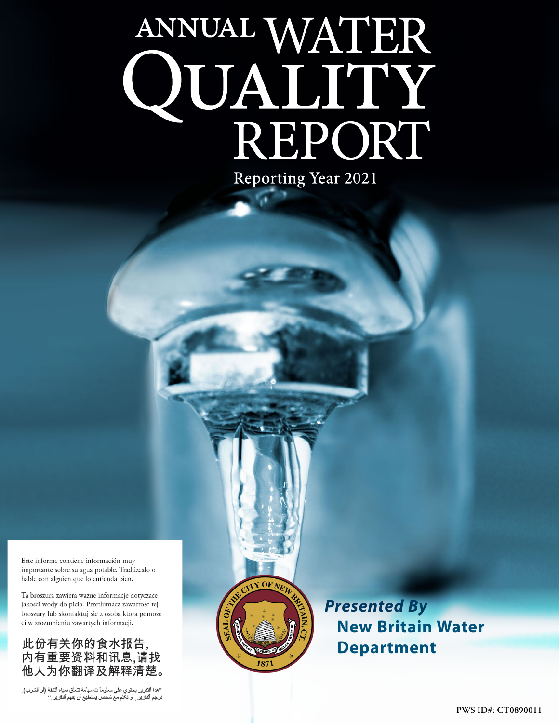# ANNUAL WATER<br>QUALITY<br>REPORT **Reporting Year 2021**

Este informe contiene información muy importante sobre su agua potable. Tradúzcalo o hable con alguien que lo entienda bien.

Ta broszura zawiera wazne informacje dotyczace jakosci wody do picia. Przetlumacz zawartosc tej broszury lub skontaktuj sie z osoba ktora pomoze ci w zrozumieniu zawartych informacji.

# 此份有关你的食水报告, 内有重要资料和讯息,请找 他人为你翻译及解释清楚。

"هذا النقرير يحتوي على معلوماً ت مه ٌمة تتعلق بمياه الشفة (أو الشرب).<br>ترجم النقرير ¸ أو تكلم مع شخص يستطيع أن يفهم النقرير ."



*Presented By* **New Britain Water Department**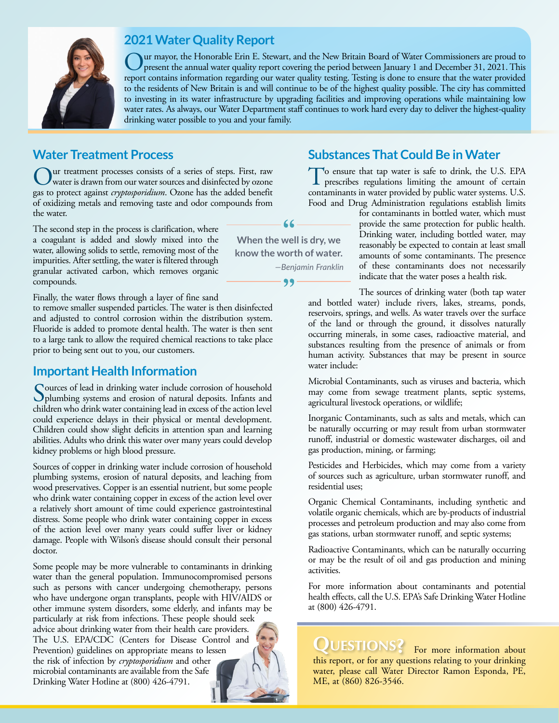

# **2021 Water Quality Report**

Our mayor, the Honorable Erin E. Stewart, and the New Britain Board of Water Commissioners are proud to present the annual water quality report covering the period between January 1 and December 31, 2021. This report contains information regarding our water quality testing. Testing is done to ensure that the water provided to the residents of New Britain is and will continue to be of the highest quality possible. The city has committed to investing in its water infrastructure by upgrading facilities and improving operations while maintaining low water rates. As always, our Water Department staff continues to work hard every day to deliver the highest-quality drinking water possible to you and your family.

# **Water Treatment Process**

Our treatment processes consists of a series of steps. First, raw water is drawn from our water sources and disinfected by ozone gas to protect against *cryptosporidium*. Ozone has the added benefit of oxidizing metals and removing taste and odor compounds from the water.

The second step in the process is clarification, where a coagulant is added and slowly mixed into the water, allowing solids to settle, removing most of the impurities. After settling, the water is filtered through granular activated carbon, which removes organic compounds.

Finally, the water flows through a layer of fine sand

to remove smaller suspended particles. The water is then disinfected and adjusted to control corrosion within the distribution system. Fluoride is added to promote dental health. The water is then sent to a large tank to allow the required chemical reactions to take place prior to being sent out to you, our customers.

#### **Important Health Information**

Sources of lead in drinking water include corrosion of household<br>plumbing systems and erosion of natural deposits. Infants and<br>higher the distribution of the set of the set of the set of the set of the set of the set of th children who drink water containing lead in excess of the action level could experience delays in their physical or mental development. Children could show slight deficits in attention span and learning abilities. Adults who drink this water over many years could develop kidney problems or high blood pressure.

Sources of copper in drinking water include corrosion of household plumbing systems, erosion of natural deposits, and leaching from wood preservatives. Copper is an essential nutrient, but some people who drink water containing copper in excess of the action level over a relatively short amount of time could experience gastrointestinal distress. Some people who drink water containing copper in excess of the action level over many years could suffer liver or kidney damage. People with Wilson's disease should consult their personal doctor.

Some people may be more vulnerable to contaminants in drinking water than the general population. Immunocompromised persons such as persons with cancer undergoing chemotherapy, persons who have undergone organ transplants, people with HIV/AIDS or other immune system disorders, some elderly, and infants may be particularly at risk from infections. These people should seek advice about drinking water from their health care providers. The U.S. EPA/CDC (Centers for Disease Control and Prevention) guidelines on appropriate means to lessen the risk of infection by *cryptosporidium* and other microbial contaminants are available from the Safe Drinking Water Hotline at (800) 426-4791.

# **Substances That Could Be in Water**

To ensure that tap water is safe to drink, the U.S. EPA prescribes regulations limiting the amount of certain contaminants in water provided by public water systems. U.S. Food and Drug Administration regulations establish limits

for contaminants in bottled water, which must provide the same protection for public health. Drinking water, including bottled water, may reasonably be expected to contain at least small amounts of some contaminants. The presence of these contaminants does not necessarily indicate that the water poses a health risk.

The sources of drinking water (both tap water and bottled water) include rivers, lakes, streams, ponds, reservoirs, springs, and wells. As water travels over the surface of the land or through the ground, it dissolves naturally occurring minerals, in some cases, radioactive material, and substances resulting from the presence of animals or from human activity. Substances that may be present in source water include:

Microbial Contaminants, such as viruses and bacteria, which may come from sewage treatment plants, septic systems, agricultural livestock operations, or wildlife;

Inorganic Contaminants, such as salts and metals, which can be naturally occurring or may result from urban stormwater runoff, industrial or domestic wastewater discharges, oil and gas production, mining, or farming;

Pesticides and Herbicides, which may come from a variety of sources such as agriculture, urban stormwater runoff, and residential uses;

Organic Chemical Contaminants, including synthetic and volatile organic chemicals, which are by-products of industrial processes and petroleum production and may also come from gas stations, urban stormwater runoff, and septic systems;

Radioactive Contaminants, which can be naturally occurring or may be the result of oil and gas production and mining activities.

For more information about contaminants and potential health effects, call the U.S. EPA's Safe Drinking Water Hotline at (800) 426-4791.

QUESTIONS? For more information about this report, or for any questions relating to your drinking water, please call Water Director Ramon Esponda, PE, ME, at (860) 826-3546.

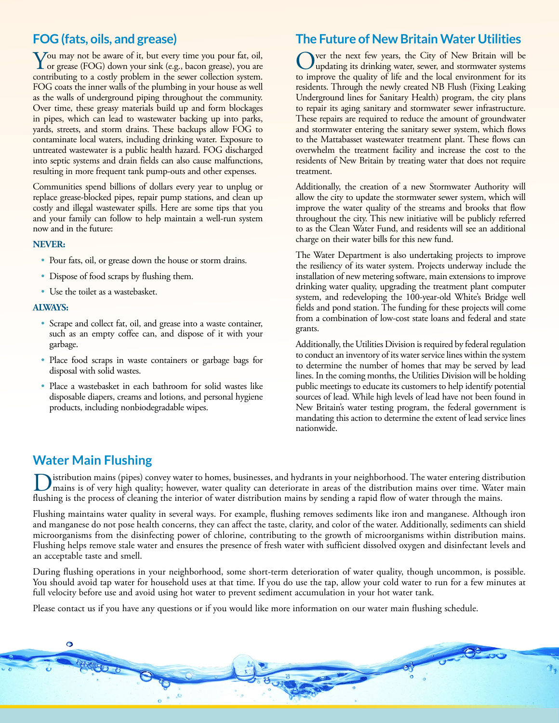# **FOG (fats, oils, and grease)**

You may not be aware of it, but every time you pour fat, oil, or grease (FOG) down your sink (e.g., bacon grease), you are contributing to a costly problem in the sewer collection system. FOG coats the inner walls of the plumbing in your house as well as the walls of underground piping throughout the community. Over time, these greasy materials build up and form blockages in pipes, which can lead to wastewater backing up into parks, yards, streets, and storm drains. These backups allow FOG to contaminate local waters, including drinking water. Exposure to untreated wastewater is a public health hazard. FOG discharged into septic systems and drain fields can also cause malfunctions, resulting in more frequent tank pump-outs and other expenses.

Communities spend billions of dollars every year to unplug or replace grease-blocked pipes, repair pump stations, and clean up costly and illegal wastewater spills. Here are some tips that you and your family can follow to help maintain a well-run system now and in the future:

#### **NEVER:**

- Pour fats, oil, or grease down the house or storm drains.
- Dispose of food scraps by flushing them.
- Use the toilet as a wastebasket.

#### **ALWAYS:**

- Scrape and collect fat, oil, and grease into a waste container, such as an empty coffee can, and dispose of it with your garbage.
- Place food scraps in waste containers or garbage bags for disposal with solid wastes.
- Place a wastebasket in each bathroom for solid wastes like disposable diapers, creams and lotions, and personal hygiene products, including nonbiodegradable wipes.

## **The Future of New Britain Water Utilities**

Ver the next few years, the City of New Britain will be updating its drinking water, sewer, and stormwater systems to improve the quality of life and the local environment for its residents. Through the newly created NB Flush (Fixing Leaking Underground lines for Sanitary Health) program, the city plans to repair its aging sanitary and stormwater sewer infrastructure. These repairs are required to reduce the amount of groundwater and stormwater entering the sanitary sewer system, which flows to the Mattabasset wastewater treatment plant. These flows can overwhelm the treatment facility and increase the cost to the residents of New Britain by treating water that does not require treatment.

Additionally, the creation of a new Stormwater Authority will allow the city to update the stormwater sewer system, which will improve the water quality of the streams and brooks that flow throughout the city. This new initiative will be publicly referred to as the Clean Water Fund, and residents will see an additional charge on their water bills for this new fund.

The Water Department is also undertaking projects to improve the resiliency of its water system. Projects underway include the installation of new metering software, main extensions to improve drinking water quality, upgrading the treatment plant computer system, and redeveloping the 100-year-old White's Bridge well fields and pond station. The funding for these projects will come from a combination of low-cost state loans and federal and state grants.

Additionally, the Utilities Division is required by federal regulation to conduct an inventory of its water service lines within the system to determine the number of homes that may be served by lead lines. In the coming months, the Utilities Division will be holding public meetings to educate its customers to help identify potential sources of lead. While high levels of lead have not been found in New Britain's water testing program, the federal government is mandating this action to determine the extent of lead service lines nationwide.

## **Water Main Flushing**

 $\bullet$ 

istribution mains (pipes) convey water to homes, businesses, and hydrants in your neighborhood. The water entering distribution mains is of very high quality; however, water quality can deteriorate in areas of the distribution mains over time. Water main flushing is the process of cleaning the interior of water distribution mains by sending a rapid flow of water through the mains.

Flushing maintains water quality in several ways. For example, flushing removes sediments like iron and manganese. Although iron and manganese do not pose health concerns, they can affect the taste, clarity, and color of the water. Additionally, sediments can shield microorganisms from the disinfecting power of chlorine, contributing to the growth of microorganisms within distribution mains. Flushing helps remove stale water and ensures the presence of fresh water with sufficient dissolved oxygen and disinfectant levels and an acceptable taste and smell.

During flushing operations in your neighborhood, some short-term deterioration of water quality, though uncommon, is possible. You should avoid tap water for household uses at that time. If you do use the tap, allow your cold water to run for a few minutes at full velocity before use and avoid using hot water to prevent sediment accumulation in your hot water tank.

Please contact us if you have any questions or if you would like more information on our water main flushing schedule.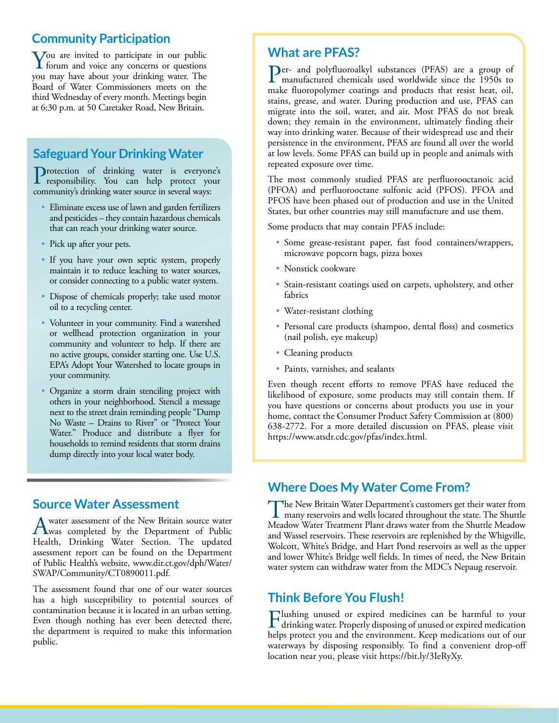# **Community Participation**

You are invited to participate in our public<br>forum and voice any concerns or questions<br>we are hour plant were displied were The you may have about your drinking water. The Board of Water Commissioners meets on the third Wednesday of every month. Meetings begin at 6:30 p.m. at 50 Caretaker Road, New Britain.

# **Safeguard Your Drinking Water**

Protection of drinking water is everyone's<br>responsibility. You can help protect your community's drinking water source in several ways:

- Eliminate excess use of lawn and garden fertilizers and pesticides – they contain hazardous chemicals that can reach your drinking water source.
- Pick up after your pets.
- If you have your own septic system, properly maintain it to reduce leaching to water sources, or consider connecting to a public water system.
- Dispose of chemicals properly; take used motor oil to a recycling center.
- Volunteer in your community. Find a watershed or wellhead protection organization in your community and volunteer to help. If there are no active groups, consider starting one. Use U.S. EPA's Adopt Your Watershed to locate groups in your community.
- Organize a storm drain stenciling project with others in your neighborhood. Stencil a message next to the street drain reminding people "Dump No Waste – Drains to River" or "Protect Your Water." Produce and distribute a flyer for households to remind residents that storm drains dump directly into your local water body.

## **Source Water Assessment**

A water assessment of the New Britain source water<br>Was completed by the Department of Public<br>Water Section The angles of Health, Drinking Water Section. The updated assessment report can be found on the Department of Public Health's website, [www.dir.ct.gov/dph/Water/](http://www.dir.ct.gov/dph/Water/SWAP/Community/CT0890011.pdf) [SWAP/Community/CT0890011.pdf](http://www.dir.ct.gov/dph/Water/SWAP/Community/CT0890011.pdf).

The assessment found that one of our water sources has a high susceptibility to potential sources of contamination because it is located in an urban setting. Even though nothing has ever been detected there, the department is required to make this information public.

#### **What are PFAS?**

Per- and polyfluoroalkyl substances (PFAS) are a group of manufactured chemicals used worldwide since the 1950s to make fluoropolymer coatings and products that resist heat, oil, stains, grease, and water. During production and use, PFAS can migrate into the soil, water, and air. Most PFAS do not break down; they remain in the environment, ultimately finding their way into drinking water. Because of their widespread use and their persistence in the environment, PFAS are found all over the world at low levels. Some PFAS can build up in people and animals with repeated exposure over time.

The most commonly studied PFAS are perfluorooctanoic acid (PFOA) and perfluorooctane sulfonic acid (PFOS). PFOA and PFOS have been phased out of production and use in the United States, but other countries may still manufacture and use them.

Some products that may contain PFAS include:

- Some grease-resistant paper, fast food containers/wrappers, microwave popcorn bags, pizza boxes
- Nonstick cookware
- Stain-resistant coatings used on carpets, upholstery, and other fabrics
- Water-resistant clothing
- Personal care products (shampoo, dental floss) and cosmetics (nail polish, eye makeup)
- Cleaning products
- Paints, varnishes, and sealants

Even though recent efforts to remove PFAS have reduced the likelihood of exposure, some products may still contain them. If you have questions or concerns about products you use in your home, contact the Consumer Product Safety Commission at (800) 638-2772. For a more detailed discussion on PFAS, please visit <https://www.atsdr.cdc.gov/pfas/index.html>.

## **Where Does My Water Come From?**

The New Britain Water Department's customers get their water from<br>many reservoirs and wells located throughout the state. The Shuttle many reservoirs and wells located throughout the state. The Shuttle Meadow Water Treatment Plant draws water from the Shuttle Meadow and Wassel reservoirs. These reservoirs are replenished by the Whigville, Wolcott, White's Bridge, and Hart Pond reservoirs as well as the upper and lower White's Bridge well fields. In times of need, the New Britain water system can withdraw water from the MDC's Nepaug reservoir.

# **Think Before You Flush!**

Flushing unused or expired medicines can be harmful to your drinking water. Properly disposing of unused or expired medication helps protect you and the environment. Keep medications out of our waterways by disposing responsibly. To find a convenient drop-off location near you, please visit [https://bit.ly/3IeRyXy.](https://bit.ly/3IeRyXy)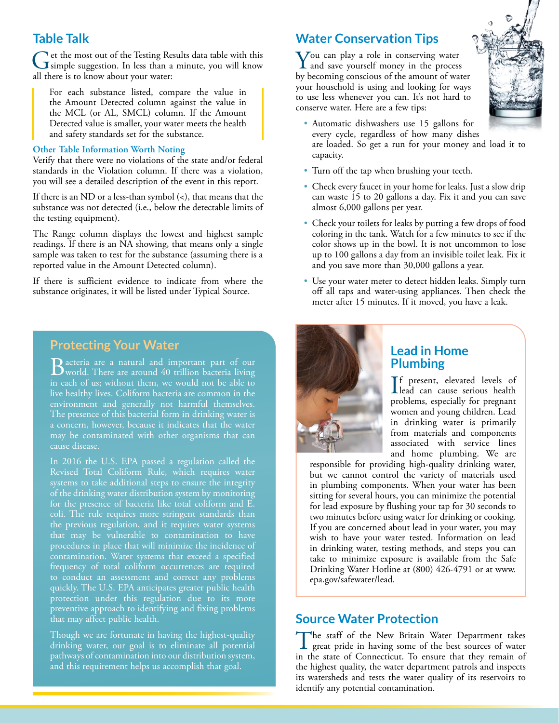#### **Table Talk**

Get the most out of the Testing Results data table with this simple suggestion. In less than a minute, you will know all there is to know about your water:

For each substance listed, compare the value in the Amount Detected column against the value in the MCL (or AL, SMCL) column. If the Amount Detected value is smaller, your water meets the health and safety standards set for the substance.

#### **Other Table Information Worth Noting**

Verify that there were no violations of the state and/or federal standards in the Violation column. If there was a violation, you will see a detailed description of the event in this report.

If there is an ND or a less-than symbol (<), that means that the substance was not detected (i.e., below the detectable limits of the testing equipment).

The Range column displays the lowest and highest sample readings. If there is an NA showing, that means only a single sample was taken to test for the substance (assuming there is a reported value in the Amount Detected column).

If there is sufficient evidence to indicate from where the substance originates, it will be listed under Typical Source.

#### **Protecting Your Water**

Bacteria are a natural and important part of our world. There are around 40 trillion bacteria living in each of us; without them, we would not be able to environment and generally not harmful themselves. The presence of this bacterial form in drinking water is may be contaminated with other organisms that can cause disease.

In 2016 the U.S. EPA passed a regulation called the Revised Total Coliform Rule, which requires water systems to take additional steps to ensure the integrity of the drinking water distribution system by monitoring coli. The rule requires more stringent standards than the previous regulation, and it requires water systems contamination. Water systems that exceed a specified frequency of total coliform occurrences are required to conduct an assessment and correct any problems quickly. The U.S. EPA anticipates greater public health protection under this regulation due to its more preventive approach to identifying and fixing problems that may affect public health.

Though we are fortunate in having the highest-quality drinking water, our goal is to eliminate all potential pathways of contamination into our distribution system, and this requirement helps us accomplish that goal.

#### **Water Conservation Tips**

You can play a role in conserving water I and save yourself money in the process by becoming conscious of the amount of water your household is using and looking for ways to use less whenever you can. It's not hard to conserve water. Here are a few tips:



- Automatic dishwashers use 15 gallons for every cycle, regardless of how many dishes are loaded. So get a run for your money and load it to capacity.
- Turn off the tap when brushing your teeth.
- Check every faucet in your home for leaks. Just a slow drip can waste 15 to 20 gallons a day. Fix it and you can save almost 6,000 gallons per year.
- Check your toilets for leaks by putting a few drops of food coloring in the tank. Watch for a few minutes to see if the color shows up in the bowl. It is not uncommon to lose up to 100 gallons a day from an invisible toilet leak. Fix it and you save more than 30,000 gallons a year.
- Use your water meter to detect hidden leaks. Simply turn off all taps and water-using appliances. Then check the meter after 15 minutes. If it moved, you have a leak.



#### **Lead in Home Plumbing**

If present, elevated levels of<br>lead can cause serious health lead can cause serious health problems, especially for pregnant women and young children. Lead in drinking water is primarily from materials and components associated with service lines and home plumbing. We are

responsible for providing high-quality drinking water, but we cannot control the variety of materials used in plumbing components. When your water has been sitting for several hours, you can minimize the potential for lead exposure by flushing your tap for 30 seconds to two minutes before using water for drinking or cooking. If you are concerned about lead in your water, you may wish to have your water tested. Information on lead in drinking water, testing methods, and steps you can take to minimize exposure is available from the Safe Drinking Water Hotline at (800) 426-4791 or at [www.](http://www.epa.gov/safewater/lead) [epa.gov/safewater/lead](http://www.epa.gov/safewater/lead).

#### **Source Water Protection**

The staff of the New Britain Water Department takes great pride in having some of the best sources of water in the state of Connecticut. To ensure that they remain of the highest quality, the water department patrols and inspects its watersheds and tests the water quality of its reservoirs to identify any potential contamination.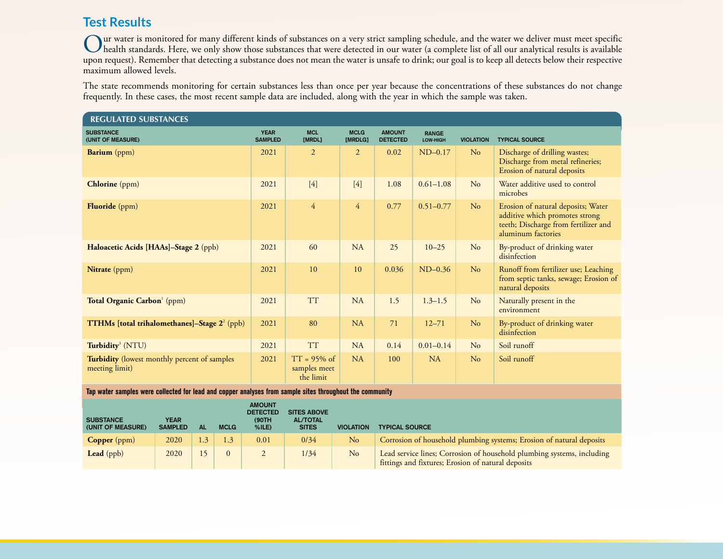# **Test Results**

Our water is monitored for many different kinds of substances on a very strict sampling schedule, and the water we deliver must meet specific<br>was a granded standards. Here, we only show those substances that were detected upon request). Remember that detecting a substance does not mean the water is unsafe to drink; our goal is to keep all detects below their respective maximum allowed levels.

The state recommends monitoring for certain substances less than once per year because the concentrations of these substances do not change frequently. In these cases, the most recent sample data are included, along with the year in which the sample was taken.

| <b>REGULATED SUBSTANCES</b>                                           |                               |                                             |                        |                                  |                          |                  |                                                                                                                                    |  |
|-----------------------------------------------------------------------|-------------------------------|---------------------------------------------|------------------------|----------------------------------|--------------------------|------------------|------------------------------------------------------------------------------------------------------------------------------------|--|
| <b>SUBSTANCE</b><br>(UNIT OF MEASURE)                                 | <b>YEAR</b><br><b>SAMPLED</b> | <b>MCL</b><br>[MRDL]                        | <b>MCLG</b><br>[MRDLG] | <b>AMOUNT</b><br><b>DETECTED</b> | <b>RANGE</b><br>LOW-HIGH | <b>VIOLATION</b> | <b>TYPICAL SOURCE</b>                                                                                                              |  |
| <b>Barium</b> (ppm)                                                   | 2021                          | $\overline{2}$                              | $\overline{2}$         | 0.02                             | $ND-0.17$                | No               | Discharge of drilling wastes;<br>Discharge from metal refineries;<br>Erosion of natural deposits                                   |  |
| <b>Chlorine</b> (ppm)                                                 | 2021                          | $[4]$                                       | $[4]$                  | 1.08                             | $0.61 - 1.08$            | No               | Water additive used to control<br>microbes                                                                                         |  |
| <b>Fluoride</b> (ppm)                                                 | 2021                          | $\overline{4}$                              | $\overline{4}$         | 0.77                             | $0.51 - 0.77$            | N <sub>o</sub>   | Erosion of natural deposits; Water<br>additive which promotes strong<br>teeth; Discharge from fertilizer and<br>aluminum factories |  |
| Haloacetic Acids [HAAs]-Stage 2 (ppb)                                 | 2021                          | 60                                          | NA                     | 25                               | $10 - 25$                | No               | By-product of drinking water<br>disinfection                                                                                       |  |
| Nitrate (ppm)                                                         | 2021                          | 10                                          | 10                     | 0.036                            | $ND-0.36$                | N <sub>o</sub>   | Runoff from fertilizer use; Leaching<br>from septic tanks, sewage; Erosion of<br>natural deposits                                  |  |
| Total Organic Carbon <sup>1</sup> (ppm)                               | 2021                          | <b>TT</b>                                   | NA                     | 1.5                              | $1.3 - 1.5$              | No               | Naturally present in the<br>environment                                                                                            |  |
| <b>TTHMs</b> [total trihalomethanes]-Stage 2 <sup>2</sup> (ppb)       | 2021                          | 80                                          | NA                     | 71                               | $12 - 71$                | N <sub>o</sub>   | By-product of drinking water<br>disinfection                                                                                       |  |
| Turbidity <sup>3</sup> (NTU)                                          | 2021                          | <b>TT</b>                                   | <b>NA</b>              | 0.14                             | $0.01 - 0.14$            | No               | Soil runoff                                                                                                                        |  |
| <b>Turbidity</b> (lowest monthly percent of samples<br>meeting limit) | 2021                          | $TT = 95\%$ of<br>samples meet<br>the limit | NA                     | 100                              | NA                       | No               | Soil runoff                                                                                                                        |  |

**Tap water samples were collected for lead and copper analyses from sample sites throughout the community**

| <b>SUBSTANCE</b><br>(UNIT OF MEASURE) | YEAR<br><b>SAMPLED</b> | ΑL  | <b>MCLG</b> | <b>AMOUNT</b><br><b>DETECTED</b><br>(90TH)<br>$%$ ILE) | <b>SITES ABOVE</b><br><b>AL/TOTAL</b><br><b>SITES</b> | <b>VIOLATION</b> | <b>TYPICAL SOURCE</b>                                                                                                        |
|---------------------------------------|------------------------|-----|-------------|--------------------------------------------------------|-------------------------------------------------------|------------------|------------------------------------------------------------------------------------------------------------------------------|
| <b>Copper</b> ( $ppm$ )               | 2020                   | 1.3 | 1.3         | 0.01                                                   | 0/34                                                  | N <sub>o</sub>   | Corrosion of household plumbing systems; Erosion of natural deposits                                                         |
| Lead $(ppb)$                          | 2020                   |     | $\Omega$    |                                                        | 1/34                                                  | No               | Lead service lines; Corrosion of household plumbing systems, including<br>fittings and fixtures; Erosion of natural deposits |